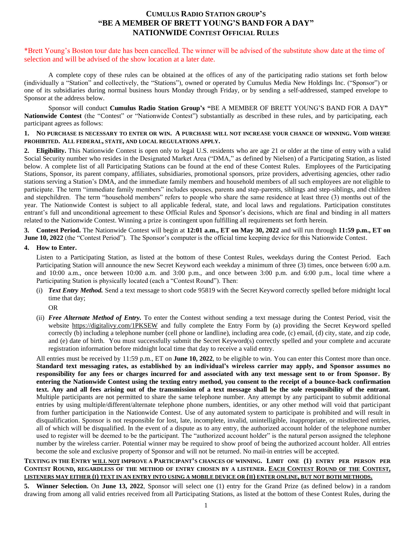# **CUMULUS RADIO STATION GROUP'S "BE A MEMBER OF BRETT YOUNG'S BAND FOR A DAY" NATIONWIDE CONTEST OFFICIAL RULES**

\*Brett Young's Boston tour date has been cancelled. The winner will be advised of the substitute show date at the time of selection and will be advised of the show location at a later date.

A complete copy of these rules can be obtained at the offices of any of the participating radio stations set forth below (individually a "Station" and collectively, the "Stations"), owned or operated by Cumulus Media New Holdings Inc. ("Sponsor") or one of its subsidiaries during normal business hours Monday through Friday, or by sending a self-addressed, stamped envelope to Sponsor at the address below.

Sponsor will conduct **Cumulus Radio Station Group's "**BE A MEMBER OF BRETT YOUNG'S BAND FOR A DAY**" Nationwide Contest** (the "Contest" or "Nationwide Contest") substantially as described in these rules, and by participating, each participant agrees as follows:

#### **1. NO PURCHASE IS NECESSARY TO ENTER OR WIN. A PURCHASE WILL NOT INCREASE YOUR CHANCE OF WINNING. VOID WHERE PROHIBITED. ALL FEDERAL, STATE, AND LOCAL REGULATIONS APPLY.**

**2. Eligibility.** This Nationwide Contest is open only to legal U.S. residents who are age 21 or older at the time of entry with a valid Social Security number who resides in the Designated Market Area ("DMA," as defined by Nielsen) of a Participating Station, as listed below. A complete list of all Participating Stations can be found at the end of these Contest Rules. Employees of the Participating Stations, Sponsor, its parent company, affiliates, subsidiaries, promotional sponsors, prize providers, advertising agencies, other radio stations serving a Station's DMA, and the immediate family members and household members of all such employees are not eligible to participate. The term "immediate family members" includes spouses, parents and step-parents, siblings and step-siblings, and children and stepchildren. The term "household members" refers to people who share the same residence at least three (3) months out of the year. The Nationwide Contest is subject to all applicable federal, state, and local laws and regulations. Participation constitutes entrant's full and unconditional agreement to these Official Rules and Sponsor's decisions, which are final and binding in all matters related to the Nationwide Contest. Winning a prize is contingent upon fulfilling all requirements set forth herein.

**3. Contest Period.** The Nationwide Contest will begin at **12:01 a.m., ET on May 30, 2022** and will run through **11:59 p.m., ET on June 10, 2022** (the "Contest Period"). The Sponsor's computer is the official time keeping device for this Nationwide Contest.

## **4. How to Enter.**

Listen to a Participating Station, as listed at the bottom of these Contest Rules, weekdays during the Contest Period. Each Participating Station will announce the new Secret Keyword each weekday a minimum of three (3) times, once between 6:00 a.m. and 10:00 a.m., once between 10:00 a.m. and 3:00 p.m., and once between 3:00 p.m. and 6:00 p.m., local time where a Participating Station is physically located (each a "Contest Round"). Then:

(i) *Text Entry Method.* Send a text message to short code 95819 with the Secret Keyword correctly spelled before midnight local time that day;

OR

(ii) *Free Alternate Method of Entry.* To enter the Contest without sending a text message during the Contest Period, visit the website<https://digitalivy.com/1PKSEW> and fully complete the Entry Form by (a) providing the Secret Keyword spelled correctly (b) including a telephone number (cell phone or landline), including area code, (c) email, (d) city, state, and zip code, and (e) date of birth. You must successfully submit the Secret Keyword(s) correctly spelled and your complete and accurate registration information before midnight local time that day to receive a valid entry.

All entries must be received by 11:59 p.m., ET on **June 10, 2022**, to be eligible to win. You can enter this Contest more than once. **Standard text messaging rates, as established by an individual's wireless carrier may apply, and Sponsor assumes no responsibility for any fees or charges incurred for and associated with any text message sent to or from Sponsor. By entering the Nationwide Contest using the texting entry method, you consent to the receipt of a bounce-back confirmation text. Any and all fees arising out of the transmission of a text message shall be the sole responsibility of the entrant.**  Multiple participants are not permitted to share the same telephone number. Any attempt by any participant to submit additional entries by using multiple/different/alternate telephone phone numbers, identities, or any other method will void that participant from further participation in the Nationwide Contest. Use of any automated system to participate is prohibited and will result in disqualification. Sponsor is not responsible for lost, late, incomplete, invalid, unintelligible, inappropriate, or misdirected entries, all of which will be disqualified. In the event of a dispute as to any entry, the authorized account holder of the telephone number used to register will be deemed to be the participant. The "authorized account holder" is the natural person assigned the telephone number by the wireless carrier. Potential winner may be required to show proof of being the authorized account holder. All entries become the sole and exclusive property of Sponsor and will not be returned. No mail-in entries will be accepted.

## **TEXTING IN THE ENTRY WILL NOT IMPROVE A PARTICIPANT'S CHANCES OF WINNING. LIMIT ONE (1) ENTRY PER PERSON PER CONTEST ROUND, REGARDLESS OF THE METHOD OF ENTRY CHOSEN BY A LISTENER. EACH CONTEST ROUND OF THE CONTEST, LISTENERS MAY EITHER (I) TEXT IN AN ENTRY INTO USING A MOBILE DEVICE OR (II) ENTER ONLINE, BUT NOT BOTH METHODS.**

**5. Winner Selection.** On **June 13, 2022**, Sponsor will select one (1) entry for the Grand Prize (as defined below) in a random drawing from among all valid entries received from all Participating Stations, as listed at the bottom of these Contest Rules, during the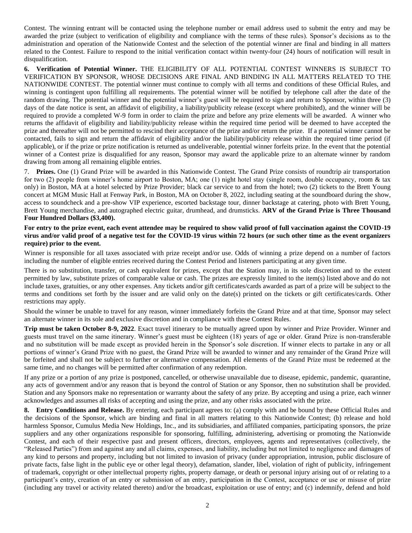Contest. The winning entrant will be contacted using the telephone number or email address used to submit the entry and may be awarded the prize (subject to verification of eligibility and compliance with the terms of these rules). Sponsor's decisions as to the administration and operation of the Nationwide Contest and the selection of the potential winner are final and binding in all matters related to the Contest. Failure to respond to the initial verification contact within twenty-four (24) hours of notification will result in disqualification.

**6. Verification of Potential Winner.** THE ELIGIBILITY OF ALL POTENTIAL CONTEST WINNERS IS SUBJECT TO VERIFICATION BY SPONSOR, WHOSE DECISIONS ARE FINAL AND BINDING IN ALL MATTERS RELATED TO THE NATIONWIDE CONTEST. The potential winner must continue to comply with all terms and conditions of these Official Rules, and winning is contingent upon fulfilling all requirements. The potential winner will be notified by telephone call after the date of the random drawing. The potential winner and the potential winner's guest will be required to sign and return to Sponsor, within three (3) days of the date notice is sent, an affidavit of eligibility, a liability/publicity release (except where prohibited), and the winner will be required to provide a completed W-9 form in order to claim the prize and before any prize elements will be awarded. A winner who returns the affidavit of eligibility and liability/publicity release within the required time period will be deemed to have accepted the prize and thereafter will not be permitted to rescind their acceptance of the prize and/or return the prize. If a potential winner cannot be contacted, fails to sign and return the affidavit of eligibility and/or the liability/publicity release within the required time period (if applicable), or if the prize or prize notification is returned as undeliverable, potential winner forfeits prize. In the event that the potential winner of a Contest prize is disqualified for any reason, Sponsor may award the applicable prize to an alternate winner by random drawing from among all remaining eligible entries.

7. **Prizes.** One (1) Grand Prize will be awarded in this Nationwide Contest. The Grand Prize consists of roundtrip air transportation for two (2) people from winner's home airport to Boston, MA; one (1) night hotel stay (single room, double occupancy, room & tax only) in Boston, MA at a hotel selected by Prize Provider; black car service to and from the hotel; two (2) tickets to the Brett Young concert at MGM Music Hall at Fenway Park, in Boston, MA on October 8, 2022, including seating at the soundboard during the show, access to soundcheck and a pre-show VIP experience, escorted backstage tour, dinner backstage at catering, photo with Brett Young, Brett Young merchandise, and autographed electric guitar, drumhead, and drumsticks. **ARV of the Grand Prize is Three Thousand Four Hundred Dollars (\$3,400).** 

#### **For entry to the prize event, each event attendee may be required to show valid proof of full vaccination against the COVID-19 virus and/or valid proof of a negative test for the COVID-19 virus within 72 hours (or such other time as the event organizers require) prior to the event.**

Winner is responsible for all taxes associated with prize receipt and/or use. Odds of winning a prize depend on a number of factors including the number of eligible entries received during the Contest Period and listeners participating at any given time.

There is no substitution, transfer, or cash equivalent for prizes, except that the Station may, in its sole discretion and to the extent permitted by law, substitute prizes of comparable value or cash. The prizes are expressly limited to the item(s) listed above and do not include taxes, gratuities, or any other expenses. Any tickets and/or gift certificates/cards awarded as part of a prize will be subject to the terms and conditions set forth by the issuer and are valid only on the date(s) printed on the tickets or gift certificates/cards. Other restrictions may apply.

Should the winner be unable to travel for any reason, winner immediately forfeits the Grand Prize and at that time, Sponsor may select an alternate winner in its sole and exclusive discretion and in compliance with these Contest Rules.

**Trip must be taken October 8-9, 2022**. Exact travel itinerary to be mutually agreed upon by winner and Prize Provider. Winner and guests must travel on the same itinerary. Winner's guest must be eighteen (18) years of age or older. Grand Prize is non-transferable and no substitution will be made except as provided herein in the Sponsor's sole discretion. If winner elects to partake in any or all portions of winner's Grand Prize with no guest, the Grand Prize will be awarded to winner and any remainder of the Grand Prize will be forfeited and shall not be subject to further or alternative compensation. All elements of the Grand Prize must be redeemed at the same time, and no changes will be permitted after confirmation of any redemption.

If any prize or a portion of any prize is postponed, cancelled, or otherwise unavailable due to disease, epidemic, pandemic, quarantine, any acts of government and/or any reason that is beyond the control of Station or any Sponsor, then no substitution shall be provided. Station and any Sponsors make no representation or warranty about the safety of any prize. By accepting and using a prize, each winner acknowledges and assumes all risks of accepting and using the prize, and any other risks associated with the prize.

**8. Entry Conditions and Release.** By entering, each participant agrees to: (a) comply with and be bound by these Official Rules and the decisions of the Sponsor, which are binding and final in all matters relating to this Nationwide Contest; (b) release and hold harmless Sponsor, Cumulus Media New Holdings, Inc., and its subsidiaries, and affiliated companies, participating sponsors, the prize suppliers and any other organizations responsible for sponsoring, fulfilling, administering, advertising or promoting the Nationwide Contest, and each of their respective past and present officers, directors, employees, agents and representatives (collectively, the "Released Parties") from and against any and all claims, expenses, and liability, including but not limited to negligence and damages of any kind to persons and property, including but not limited to invasion of privacy (under appropriation, intrusion, public disclosure of private facts, false light in the public eye or other legal theory), defamation, slander, libel, violation of right of publicity, infringement of trademark, copyright or other intellectual property rights, property damage, or death or personal injury arising out of or relating to a participant's entry, creation of an entry or submission of an entry, participation in the Contest, acceptance or use or misuse of prize (including any travel or activity related thereto) and/or the broadcast, exploitation or use of entry; and (c) indemnify, defend and hold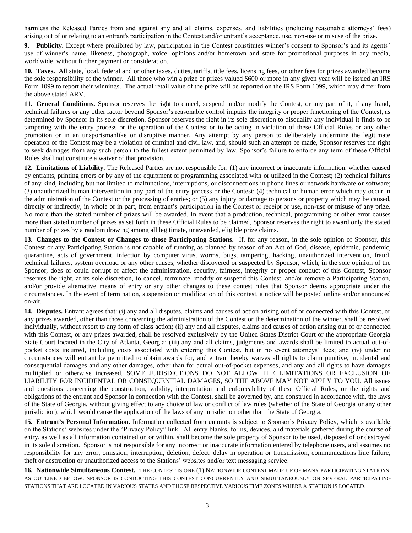harmless the Released Parties from and against any and all claims, expenses, and liabilities (including reasonable attorneys' fees) arising out of or relating to an entrant's participation in the Contest and/or entrant's acceptance, use, non-use or misuse of the prize.

**9. Publicity.** Except where prohibited by law, participation in the Contest constitutes winner's consent to Sponsor's and its agents' use of winner's name, likeness, photograph, voice, opinions and/or hometown and state for promotional purposes in any media, worldwide, without further payment or consideration.

**10. Taxes.** All state, local, federal and or other taxes, duties, tariffs, title fees, licensing fees, or other fees for prizes awarded become the sole responsibility of the winner. All those who win a prize or prizes valued \$600 or more in any given year will be issued an IRS Form 1099 to report their winnings. The actual retail value of the prize will be reported on the IRS Form 1099, which may differ from the above stated ARV.

**11. General Conditions.** Sponsor reserves the right to cancel, suspend and/or modify the Contest, or any part of it, if any fraud, technical failures or any other factor beyond Sponsor's reasonable control impairs the integrity or proper functioning of the Contest, as determined by Sponsor in its sole discretion. Sponsor reserves the right in its sole discretion to disqualify any individual it finds to be tampering with the entry process or the operation of the Contest or to be acting in violation of these Official Rules or any other promotion or in an unsportsmanlike or disruptive manner. Any attempt by any person to deliberately undermine the legitimate operation of the Contest may be a violation of criminal and civil law, and, should such an attempt be made, Sponsor reserves the right to seek damages from any such person to the fullest extent permitted by law. Sponsor's failure to enforce any term of these Official Rules shall not constitute a waiver of that provision.

**12. Limitations of Liability.** The Released Parties are not responsible for: (1) any incorrect or inaccurate information, whether caused by entrants, printing errors or by any of the equipment or programming associated with or utilized in the Contest; (2) technical failures of any kind, including but not limited to malfunctions, interruptions, or disconnections in phone lines or network hardware or software; (3) unauthorized human intervention in any part of the entry process or the Contest; (4) technical or human error which may occur in the administration of the Contest or the processing of entries; or (5) any injury or damage to persons or property which may be caused, directly or indirectly, in whole or in part, from entrant's participation in the Contest or receipt or use, non-use or misuse of any prize. No more than the stated number of prizes will be awarded. In event that a production, technical, programming or other error causes more than stated number of prizes as set forth in these Official Rules to be claimed, Sponsor reserves the right to award only the stated number of prizes by a random drawing among all legitimate, unawarded, eligible prize claims.

**13. Changes to the Contest or Changes to those Participating Stations.** If, for any reason, in the sole opinion of Sponsor, this Contest or any Participating Station is not capable of running as planned by reason of an Act of God, disease, epidemic, pandemic, quarantine, acts of government, infection by computer virus, worms, bugs, tampering, hacking, unauthorized intervention, fraud, technical failures, system overload or any other causes, whether discovered or suspected by Sponsor, which, in the sole opinion of the Sponsor, does or could corrupt or affect the administration, security, fairness, integrity or proper conduct of this Contest, Sponsor reserves the right, at its sole discretion, to cancel, terminate, modify or suspend this Contest, and/or remove a Participating Station, and/or provide alternative means of entry or any other changes to these contest rules that Sponsor deems appropriate under the circumstances. In the event of termination, suspension or modification of this contest, a notice will be posted online and/or announced on-air.

**14. Disputes.** Entrant agrees that: (i) any and all disputes, claims and causes of action arising out of or connected with this Contest, or any prizes awarded, other than those concerning the administration of the Contest or the determination of the winner, shall be resolved individually, without resort to any form of class action; (ii) any and all disputes, claims and causes of action arising out of or connected with this Contest, or any prizes awarded, shall be resolved exclusively by the United States District Court or the appropriate Georgia State Court located in the City of Atlanta, Georgia; (iii) any and all claims, judgments and awards shall be limited to actual out-ofpocket costs incurred, including costs associated with entering this Contest, but in no event attorneys' fees; and (iv) under no circumstances will entrant be permitted to obtain awards for, and entrant hereby waives all rights to claim punitive, incidental and consequential damages and any other damages, other than for actual out-of-pocket expenses, and any and all rights to have damages multiplied or otherwise increased. SOME JURISDICTIONS DO NOT ALLOW THE LIMITATIONS OR EXCLUSION OF LIABILITY FOR INCIDENTAL OR CONSEQUENTIAL DAMAGES, SO THE ABOVE MAY NOT APPLY TO YOU. All issues and questions concerning the construction, validity, interpretation and enforceability of these Official Rules, or the rights and obligations of the entrant and Sponsor in connection with the Contest, shall be governed by, and construed in accordance with, the laws of the State of Georgia, without giving effect to any choice of law or conflict of law rules (whether of the State of Georgia or any other jurisdiction), which would cause the application of the laws of any jurisdiction other than the State of Georgia.

**15. Entrant's Personal Information.** Information collected from entrants is subject to Sponsor's Privacy Policy, which is available on the Stations' websites under the "Privacy Policy" link. All entry blanks, forms, devices, and materials gathered during the course of entry, as well as all information contained on or within, shall become the sole property of Sponsor to be used, disposed of or destroyed in its sole discretion. Sponsor is not responsible for any incorrect or inaccurate information entered by telephone users, and assumes no responsibility for any error, omission, interruption, deletion, defect, delay in operation or transmission, communications line failure, theft or destruction or unauthorized access to the Stations' websites and/or text messaging service.

**16. Nationwide Simultaneous Contest.** THE CONTEST IS ONE (1) NATIONWIDE CONTEST MADE UP OF MANY PARTICIPATING STATIONS, AS OUTLINED BELOW. SPONSOR IS CONDUCTING THIS CONTEST CONCURRENTLY AND SIMULTANEOUSLY ON SEVERAL PARTICIPATING STATIONS THAT ARE LOCATED IN VARIOUS STATES AND THOSE RESPECTIVE VARIOUS TIME ZONES WHERE A STATION IS LOCATED.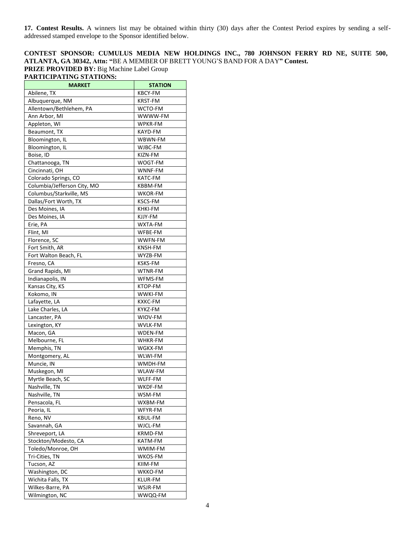**17. Contest Results.** A winners list may be obtained within thirty (30) days after the Contest Period expires by sending a selfaddressed stamped envelope to the Sponsor identified below.

**CONTEST SPONSOR: CUMULUS MEDIA NEW HOLDINGS INC., 780 JOHNSON FERRY RD NE, SUITE 500, ATLANTA, GA 30342, Attn: "**BE A MEMBER OF BRETT YOUNG'S BAND FOR A DAY**" Contest. PRIZE PROVIDED BY:** Big Machine Label Group

| <b>MARKET</b>               | <b>STATION</b> |
|-----------------------------|----------------|
| Abilene, TX                 | <b>KBCY-FM</b> |
| Albuquerque, NM             | <b>KRST-FM</b> |
| Allentown/Bethlehem, PA     | WCTO-FM        |
| Ann Arbor, MI               | WWWW-FM        |
| Appleton, WI                | WPKR-FM        |
| Beaumont, TX                | KAYD-FM        |
| Bloomington, IL             | WBWN-FM        |
| Bloomington, IL             | WJBC-FM        |
| Boise, ID                   | KIZN-FM        |
| Chattanooga, TN             | WOGT-FM        |
| Cincinnati, OH              | WNNF-FM        |
| Colorado Springs, CO        | KATC-FM        |
| Columbia/Jefferson City, MO | KBBM-FM        |
| Columbus/Starkville, MS     | WKOR-FM        |
| Dallas/Fort Worth, TX       | KSCS-FM        |
| Des Moines, IA              | KHKI-FM        |
| Des Moines, IA              | KJJY-FM        |
| Erie, PA                    | WXTA-FM        |
| Flint, MI                   | WFBE-FM        |
| Florence, SC                | WWFN-FM        |
| Fort Smith, AR              | KNSH-FM        |
| Fort Walton Beach, FL       | WYZB-FM        |
| Fresno, CA                  | <b>KSKS-FM</b> |
| Grand Rapids, MI            | WTNR-FM        |
| Indianapolis, IN            | WFMS-FM        |
| Kansas City, KS             | KTOP-FM        |
| Kokomo, IN                  | <b>WWKI-FM</b> |
| Lafayette, LA               | <b>KXKC-FM</b> |
| Lake Charles, LA            | KYKZ-FM        |
| Lancaster, PA               | WIOV-FM        |
| Lexington, KY               | WVLK-FM        |
| Macon, GA                   | WDEN-FM        |
| Melbourne, FL               | <b>WHKR-FM</b> |
| Memphis, TN                 | WGKX-FM        |
| Montgomery, AL              | WLWI-FM        |
| Muncie, IN                  | WMDH-FM        |
| Muskegon, MI                | WLAW-FM        |
| Myrtle Beach, SC            | WLFF-FM        |
| Nashville, TN               | WKDF-FM        |
| Nashville, TN               | WSM-FM         |
| Pensacola, FL               | WXBM-FM        |
| Peoria, IL                  | WFYR-FM        |
| Reno, NV                    | KBUL-FM        |
| Savannah, GA                | WJCL-FM        |
| Shreveport, LA              | <b>KRMD-FM</b> |
| Stockton/Modesto, CA        | KATM-FM        |
| Toledo/Monroe, OH           | WMIM-FM        |
| Tri-Cities, TN              | WKOS-FM        |
| Tucson, AZ                  | KIIM-FM        |
| Washington, DC              | WKKO-FM        |
| Wichita Falls, TX           | KLUR-FM        |
| Wilkes-Barre, PA            | WSJR-FM        |
| Wilmington, NC              | WWQQ-FM        |